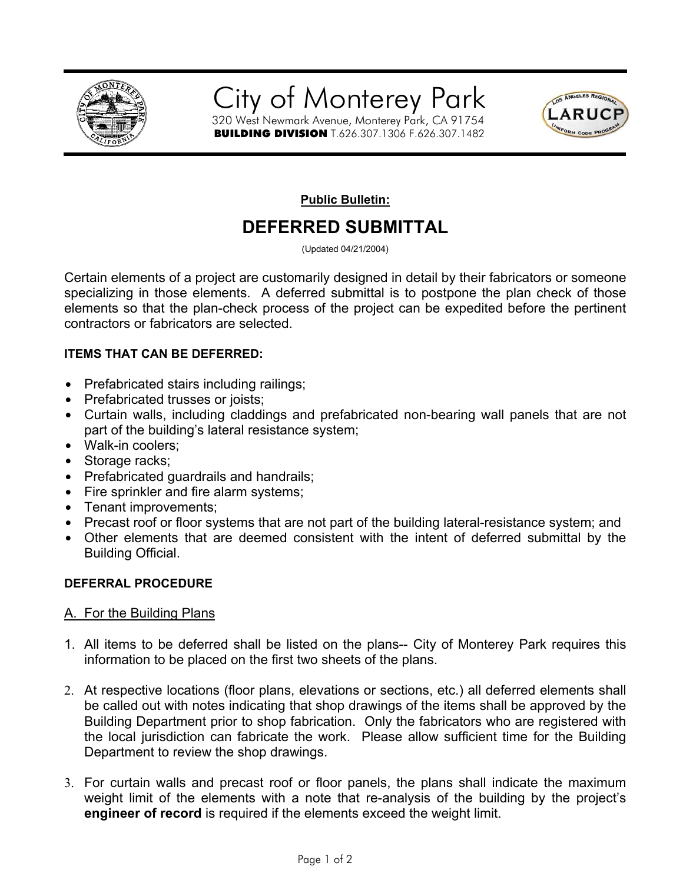



**Public Bulletin:**

# **DEFERRED SUBMITTAL**

(Updated 04/21/2004)

Certain elements of a project are customarily designed in detail by their fabricators or someone specializing in those elements. A deferred submittal is to postpone the plan check of those elements so that the plan-check process of the project can be expedited before the pertinent contractors or fabricators are selected.

## **ITEMS THAT CAN BE DEFERRED:**

- Prefabricated stairs including railings;
- Prefabricated trusses or joists;
- Curtain walls, including claddings and prefabricated non-bearing wall panels that are not part of the building's lateral resistance system;
- Walk-in coolers;
- Storage racks:
- Prefabricated guardrails and handrails;
- Fire sprinkler and fire alarm systems;
- Tenant improvements;
- Precast roof or floor systems that are not part of the building lateral-resistance system; and
- Other elements that are deemed consistent with the intent of deferred submittal by the Building Official.

### **DEFERRAL PROCEDURE**

### A. For the Building Plans

- 1. All items to be deferred shall be listed on the plans-- City of Monterey Park requires this information to be placed on the first two sheets of the plans.
- 2. At respective locations (floor plans, elevations or sections, etc.) all deferred elements shall be called out with notes indicating that shop drawings of the items shall be approved by the Building Department prior to shop fabrication. Only the fabricators who are registered with the local jurisdiction can fabricate the work. Please allow sufficient time for the Building Department to review the shop drawings.
- 3. For curtain walls and precast roof or floor panels, the plans shall indicate the maximum weight limit of the elements with a note that re-analysis of the building by the project's **engineer of record** is required if the elements exceed the weight limit.